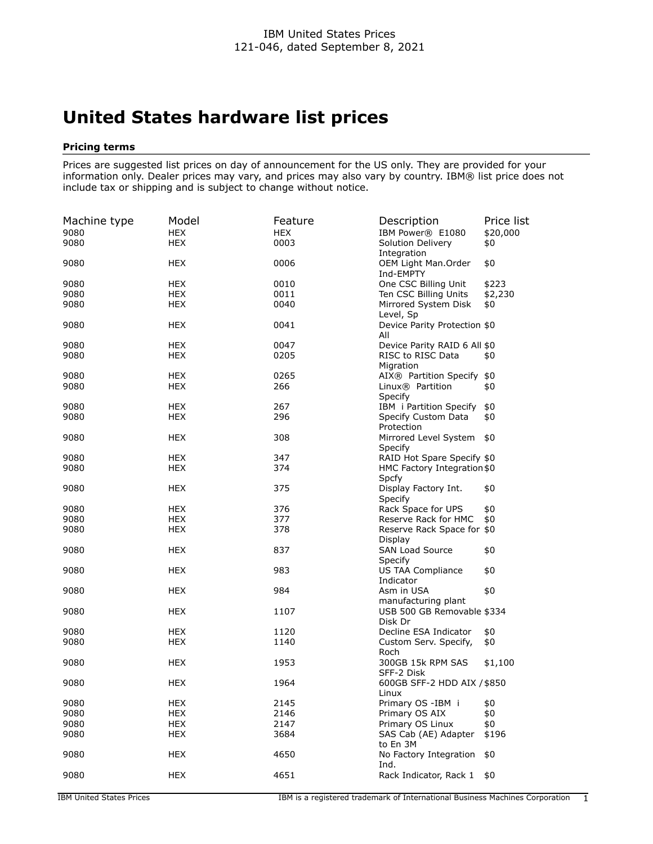## **United States hardware list prices**

## **Pricing terms**

Prices are suggested list prices on day of announcement for the US only. They are provided for your information only. Dealer prices may vary, and prices may also vary by country. IBM® list price does not include tax or shipping and is subject to change without notice.

| Machine type<br>9080 | Model<br><b>HEX</b> | Feature<br><b>HEX</b> | Description<br>IBM Power® E1080         | Price list<br>\$20,000 |
|----------------------|---------------------|-----------------------|-----------------------------------------|------------------------|
| 9080                 | <b>HEX</b>          | 0003                  | Solution Delivery<br>Integration        | \$0                    |
| 9080                 | <b>HEX</b>          | 0006                  | OEM Light Man.Order<br>Ind-EMPTY        | \$0                    |
| 9080                 | <b>HEX</b>          | 0010                  | One CSC Billing Unit                    | \$223                  |
| 9080                 | <b>HEX</b>          | 0011                  | Ten CSC Billing Units                   | \$2,230                |
| 9080                 | <b>HEX</b>          | 0040                  | Mirrored System Disk<br>Level, Sp       | \$0                    |
| 9080                 | <b>HEX</b>          | 0041                  | Device Parity Protection \$0<br>All     |                        |
| 9080                 | <b>HEX</b>          | 0047                  | Device Parity RAID 6 All \$0            |                        |
| 9080                 | <b>HEX</b>          | 0205                  | RISC to RISC Data<br>Migration          | \$0                    |
| 9080                 | <b>HEX</b>          | 0265                  | AIX® Partition Specify \$0              |                        |
| 9080                 | <b>HEX</b>          | 266                   | Linux <sup>®</sup> Partition<br>Specify | \$0                    |
| 9080                 | <b>HEX</b>          | 267                   | IBM i Partition Specify                 | \$0                    |
| 9080                 | <b>HEX</b>          | 296                   | Specify Custom Data<br>Protection       | \$0                    |
| 9080                 | <b>HEX</b>          | 308                   | Mirrored Level System<br>Specify        | \$0                    |
| 9080                 | <b>HEX</b>          | 347                   | RAID Hot Spare Specify \$0              |                        |
| 9080                 | <b>HEX</b>          | 374                   | HMC Factory Integration \$0<br>Spcfy    |                        |
| 9080                 | <b>HEX</b>          | 375                   | Display Factory Int.<br>Specify         | \$0                    |
| 9080                 | <b>HEX</b>          | 376                   | Rack Space for UPS                      | \$0                    |
| 9080                 | <b>HEX</b>          | 377                   | Reserve Rack for HMC                    | \$0                    |
| 9080                 | <b>HEX</b>          | 378                   | Reserve Rack Space for \$0<br>Display   |                        |
| 9080                 | <b>HEX</b>          | 837                   | <b>SAN Load Source</b><br>Specify       | \$0                    |
| 9080                 | <b>HEX</b>          | 983                   | <b>US TAA Compliance</b><br>Indicator   | \$0                    |
| 9080                 | <b>HEX</b>          | 984                   | Asm in USA<br>manufacturing plant       | \$0                    |
| 9080                 | <b>HEX</b>          | 1107                  | USB 500 GB Removable \$334<br>Disk Dr   |                        |
| 9080                 | <b>HEX</b>          | 1120                  | Decline ESA Indicator                   | \$0                    |
| 9080                 | <b>HEX</b>          | 1140                  | Custom Serv. Specify,<br>Roch           | \$0                    |
| 9080                 | <b>HEX</b>          | 1953                  | 300GB 15k RPM SAS<br>SFF-2 Disk         | \$1,100                |
| 9080                 | <b>HEX</b>          | 1964                  | 600GB SFF-2 HDD AIX / \$850<br>Linux    |                        |
| 9080                 | <b>HEX</b>          | 2145                  | Primary OS -IBM i                       | \$0                    |
| 9080                 | <b>HEX</b>          | 2146                  | Primary OS AIX                          | \$0                    |
| 9080                 | <b>HEX</b>          | 2147                  | Primary OS Linux                        | \$0                    |
| 9080                 | <b>HEX</b>          | 3684                  | SAS Cab (AE) Adapter<br>to En 3M        | \$196                  |
| 9080                 | <b>HEX</b>          | 4650                  | No Factory Integration<br>Ind.          | \$0                    |
| 9080                 | <b>HEX</b>          | 4651                  | Rack Indicator, Rack 1                  | \$0                    |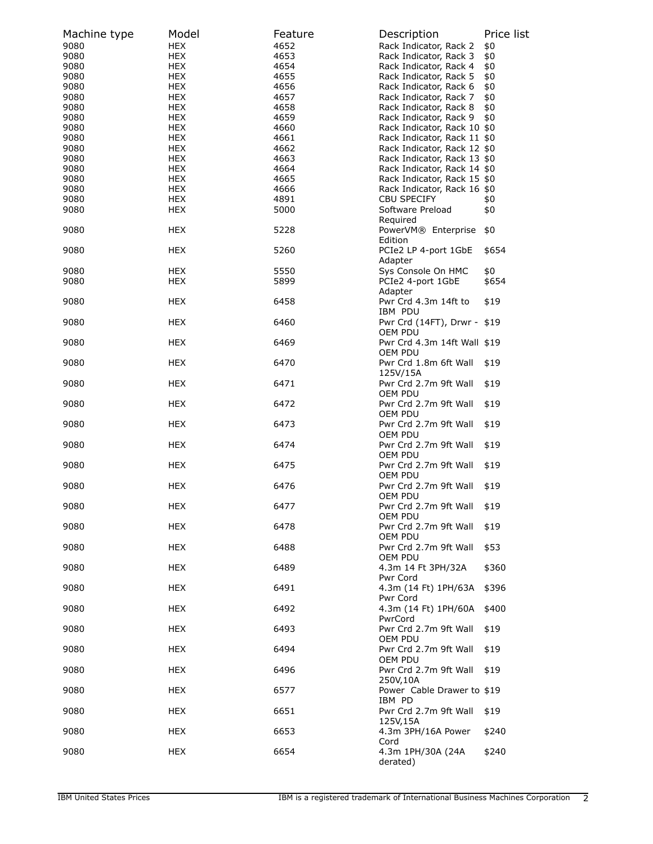| Machine type | Model                    | Feature      | Description                                                | Price list |
|--------------|--------------------------|--------------|------------------------------------------------------------|------------|
| 9080         | <b>HEX</b>               | 4652         | Rack Indicator, Rack 2                                     | \$0        |
| 9080<br>9080 | <b>HEX</b><br><b>HEX</b> | 4653<br>4654 | Rack Indicator, Rack 3<br>Rack Indicator, Rack 4           | \$0<br>\$0 |
| 9080         | HEX                      | 4655         | Rack Indicator, Rack 5                                     | \$0        |
| 9080         | <b>HEX</b>               | 4656         | Rack Indicator, Rack 6                                     | \$0        |
| 9080         | <b>HEX</b>               | 4657         | Rack Indicator, Rack 7                                     | \$0        |
| 9080         | <b>HEX</b>               | 4658         | Rack Indicator, Rack 8                                     | \$0        |
| 9080         | <b>HEX</b>               | 4659         | Rack Indicator, Rack 9                                     | \$0        |
| 9080         | <b>HEX</b>               | 4660         | Rack Indicator, Rack 10 \$0                                |            |
| 9080         | <b>HEX</b>               | 4661         | Rack Indicator, Rack 11 \$0                                |            |
| 9080         | <b>HEX</b>               | 4662         | Rack Indicator, Rack 12 \$0                                |            |
| 9080         | <b>HEX</b>               | 4663         | Rack Indicator, Rack 13 \$0<br>Rack Indicator, Rack 14 \$0 |            |
| 9080<br>9080 | <b>HEX</b><br><b>HEX</b> | 4664<br>4665 | Rack Indicator, Rack 15 \$0                                |            |
| 9080         | <b>HEX</b>               | 4666         | Rack Indicator, Rack 16 \$0                                |            |
| 9080         | <b>HEX</b>               | 4891         | <b>CBU SPECIFY</b>                                         | \$0        |
| 9080         | <b>HEX</b>               | 5000         | Software Preload                                           | \$0        |
|              |                          |              | Required                                                   |            |
| 9080         | HEX                      | 5228         | PowerVM® Enterprise                                        | \$0        |
|              |                          |              | Edition                                                    |            |
| 9080         | HEX                      | 5260         | PCIe2 LP 4-port 1GbE<br>Adapter                            | \$654      |
| 9080         | <b>HEX</b>               | 5550         | Sys Console On HMC                                         | \$0        |
| 9080         | HEX                      | 5899         | PCIe2 4-port 1GbE<br>Adapter                               | \$654      |
| 9080         | HEX                      | 6458         | Pwr Crd 4.3m 14ft to<br>IBM PDU                            | \$19       |
| 9080         | <b>HEX</b>               | 6460         | Pwr Crd (14FT), Drwr - \$19<br>OEM PDU                     |            |
| 9080         | HEX                      | 6469         | Pwr Crd 4.3m 14ft Wall \$19<br>OEM PDU                     |            |
| 9080         | <b>HEX</b>               | 6470         | Pwr Crd 1.8m 6ft Wall<br>125V/15A                          | \$19       |
| 9080         | HEX                      | 6471         | Pwr Crd 2.7m 9ft Wall<br>OEM PDU                           | \$19       |
| 9080         | <b>HEX</b>               | 6472         | Pwr Crd 2.7m 9ft Wall<br>OEM PDU                           | \$19       |
| 9080         | <b>HEX</b>               | 6473         | Pwr Crd 2.7m 9ft Wall<br>OEM PDU                           | \$19       |
| 9080         | HEX                      | 6474         | Pwr Crd 2.7m 9ft Wall<br>OEM PDU                           | \$19       |
| 9080         | <b>HEX</b>               | 6475         | Pwr Crd 2.7m 9ft Wall<br>OEM PDU                           | \$19       |
| 9080         | <b>HEX</b>               | 6476         | Pwr Crd 2.7m 9ft Wall<br>OEM PDU                           | \$19       |
| 9080         | <b>HEX</b>               | 6477         | Pwr Crd 2.7m 9ft Wall<br>OEM PDU                           | \$19       |
| 9080         | <b>HEX</b>               | 6478         | Pwr Crd 2.7m 9ft Wall<br>OEM PDU                           | \$19       |
| 9080         | HEX                      | 6488         | Pwr Crd 2.7m 9ft Wall<br>OEM PDU                           | \$53       |
| 9080         | HEX                      | 6489         | 4.3m 14 Ft 3PH/32A<br>Pwr Cord                             | \$360      |
| 9080         | HEX                      | 6491         | 4.3m (14 Ft) 1PH/63A<br>Pwr Cord                           | \$396      |
| 9080         | HEX                      | 6492         | 4.3m (14 Ft) 1PH/60A<br>PwrCord                            | \$400      |
| 9080         | <b>HEX</b>               | 6493         | Pwr Crd 2.7m 9ft Wall<br>OEM PDU                           | \$19       |
| 9080         | HEX                      | 6494         | Pwr Crd 2.7m 9ft Wall<br>OEM PDU                           | \$19       |
| 9080         | <b>HEX</b>               | 6496         | Pwr Crd 2.7m 9ft Wall<br>250V,10A                          | \$19       |
| 9080         | HEX                      | 6577         | Power Cable Drawer to \$19<br>IBM PD                       |            |
| 9080         | <b>HEX</b>               | 6651         | Pwr Crd 2.7m 9ft Wall<br>125V,15A                          | \$19       |
| 9080         | <b>HEX</b>               | 6653         | 4.3m 3PH/16A Power<br>Cord                                 | \$240      |
| 9080         | HEX                      | 6654         | 4.3m 1PH/30A (24A<br>derated)                              | \$240      |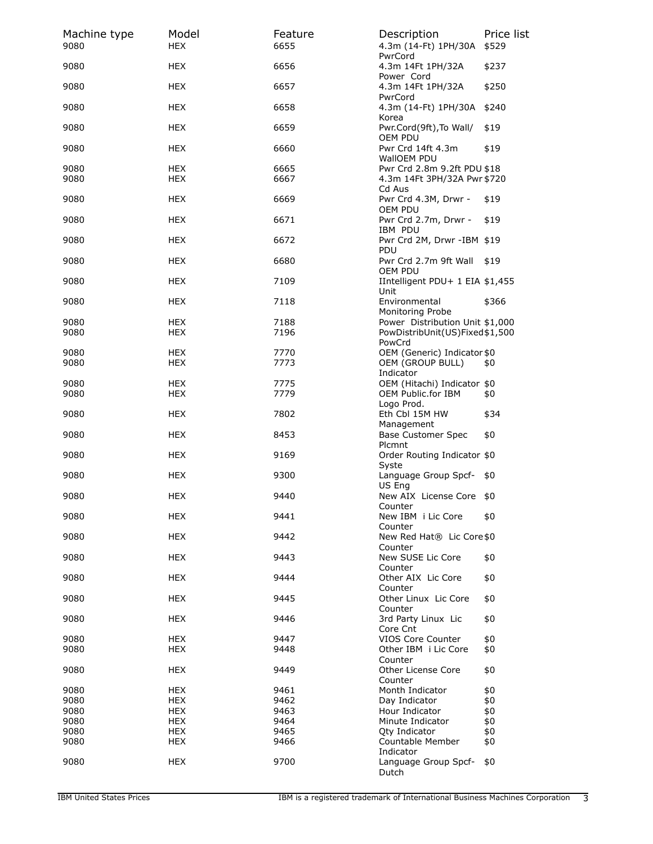| Machine type<br>9080 | Model<br><b>HEX</b>      | Feature<br>6655 | Description<br>4.3m (14-Ft) 1PH/30A                                         | Price list<br>\$529 |
|----------------------|--------------------------|-----------------|-----------------------------------------------------------------------------|---------------------|
| 9080                 | <b>HEX</b>               | 6656            | PwrCord<br>4.3m 14Ft 1PH/32A                                                | \$237               |
| 9080                 | <b>HEX</b>               | 6657            | Power Cord<br>4.3m 14Ft 1PH/32A                                             | \$250               |
| 9080                 | HEX                      | 6658            | PwrCord<br>4.3m (14-Ft) 1PH/30A<br>Korea                                    | \$240               |
| 9080                 | HEX                      | 6659            | Pwr.Cord(9ft), To Wall/<br>OEM PDU                                          | \$19                |
| 9080                 | HEX                      | 6660            | Pwr Crd 14ft 4.3m<br>WallOEM PDU                                            | \$19                |
| 9080<br>9080         | <b>HEX</b><br><b>HEX</b> | 6665<br>6667    | Pwr Crd 2.8m 9.2ft PDU \$18<br>4.3m 14Ft 3PH/32A Pwr \$720                  |                     |
| 9080                 | HEX                      | 6669            | Cd Aus<br>Pwr Crd 4.3M, Drwr -<br>OEM PDU                                   | \$19                |
| 9080                 | <b>HEX</b>               | 6671            | Pwr Crd 2.7m, Drwr -<br>IBM PDU                                             | \$19                |
| 9080                 | <b>HEX</b>               | 6672            | Pwr Crd 2M, Drwr -IBM \$19<br>PDU                                           |                     |
| 9080                 | HEX                      | 6680            | Pwr Crd 2.7m 9ft Wall<br>OEM PDU                                            | \$19                |
| 9080                 | HEX                      | 7109            | IIntelligent PDU+ 1 EIA \$1,455<br>Unit                                     |                     |
| 9080                 | HEX                      | 7118            | Environmental<br>Monitoring Probe                                           | \$366               |
| 9080<br>9080         | <b>HEX</b><br><b>HEX</b> | 7188<br>7196    | Power Distribution Unit \$1,000<br>PowDistribUnit(US)Fixed\$1,500<br>PowCrd |                     |
| 9080<br>9080         | HEX<br>HEX               | 7770<br>7773    | OEM (Generic) Indicator \$0<br>OEM (GROUP BULL)                             | \$0                 |
| 9080<br>9080         | HEX<br>HEX               | 7775<br>7779    | Indicator<br>OEM (Hitachi) Indicator \$0<br>OEM Public.for IBM              | \$0                 |
| 9080                 | HEX                      | 7802            | Logo Prod.<br>Eth Cbl 15M HW                                                | \$34                |
| 9080                 | HEX                      | 8453            | Management<br><b>Base Customer Spec</b>                                     | \$0                 |
| 9080                 | HEX                      | 9169            | Plcmnt<br>Order Routing Indicator \$0<br>Syste                              |                     |
| 9080                 | HEX                      | 9300            | Language Group Spcf-<br>US Eng                                              | \$0                 |
| 9080                 | <b>HEX</b>               | 9440            | New AIX License Core \$0                                                    |                     |
| 9080                 | HEX                      | 9441            | Counter<br>New IBM i Lic Core<br>Counter                                    | \$0                 |
| 9080                 | HEX                      | 9442            | New Red Hat® Lic Core \$0<br>Counter                                        |                     |
| 9080                 | HEX                      | 9443            | New SUSE Lic Core<br>Counter                                                | \$0                 |
| 9080                 | <b>HEX</b>               | 9444            | Other AIX Lic Core<br>Counter                                               | \$0                 |
| 9080                 | <b>HEX</b>               | 9445            | Other Linux Lic Core                                                        | \$0                 |
| 9080                 | HEX                      | 9446            | Counter<br>3rd Party Linux Lic<br>Core Cnt                                  | \$0                 |
| 9080                 | HEX                      | 9447            | VIOS Core Counter                                                           | \$0                 |
| 9080                 | HEX                      | 9448            | Other IBM i Lic Core<br>Counter                                             | \$0                 |
| 9080                 | HEX                      | 9449            | Other License Core<br>Counter                                               | \$0                 |
| 9080                 | HEX                      | 9461            | Month Indicator                                                             | \$0                 |
| 9080                 | HEX                      | 9462            | Day Indicator                                                               | \$0                 |
| 9080<br>9080         | <b>HEX</b>               | 9463            | Hour Indicator                                                              | \$0                 |
|                      | HEX                      | 9464<br>9465    | Minute Indicator                                                            | \$0                 |
| 9080<br>9080         | <b>HEX</b><br><b>HEX</b> | 9466            | <b>Qty Indicator</b><br>Countable Member                                    | \$0<br>\$0          |
|                      |                          |                 | Indicator                                                                   |                     |
| 9080                 | HEX                      | 9700            | Language Group Spcf-<br>Dutch                                               | \$0                 |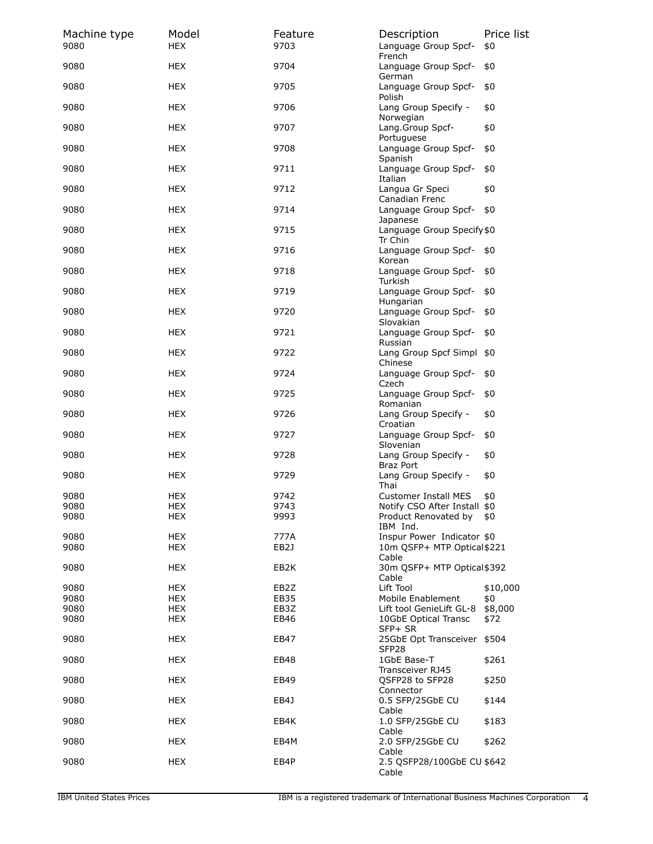| Machine type<br>9080 | Model<br><b>HEX</b>      | Feature<br>9703 | Description<br>Language Group Spcf-                                | Price list<br>\$0 |
|----------------------|--------------------------|-----------------|--------------------------------------------------------------------|-------------------|
| 9080                 | <b>HEX</b>               | 9704            | French<br>Language Group Spcf-<br>German                           | \$0               |
| 9080                 | <b>HEX</b>               | 9705            | Language Group Spcf-<br>Polish                                     | \$0               |
| 9080                 | <b>HEX</b>               | 9706            | Lang Group Specify -<br>Norwegian                                  | \$0               |
| 9080                 | <b>HEX</b>               | 9707            | Lang.Group Spcf-<br>Portuguese                                     | \$0               |
| 9080                 | <b>HEX</b>               | 9708            | Language Group Spcf-<br>Spanish                                    | \$0               |
| 9080                 | <b>HEX</b>               | 9711            | Language Group Spcf-<br>Italian                                    | \$0               |
| 9080                 | <b>HEX</b>               | 9712            | Langua Gr Speci<br>Canadian Frenc                                  | \$0               |
| 9080                 | <b>HEX</b>               | 9714            | Language Group Spcf-<br>Japanese                                   | \$0               |
| 9080                 | <b>HEX</b>               | 9715            | Language Group Specify \$0<br>Tr Chin                              |                   |
| 9080                 | HEX                      | 9716            | Language Group Spcf-<br>Korean                                     | \$0               |
| 9080                 | <b>HEX</b>               | 9718            | Language Group Spcf-<br>Turkish                                    | \$0               |
| 9080                 | <b>HEX</b>               | 9719            | Language Group Spcf-<br>Hungarian                                  | \$0               |
| 9080                 | <b>HEX</b>               | 9720            | Language Group Spcf-<br>Slovakian                                  | \$0               |
| 9080                 | <b>HEX</b>               | 9721            | Language Group Spcf-<br>Russian                                    | \$0               |
| 9080                 | HEX                      | 9722            | Lang Group Spcf Simpl<br>Chinese                                   | \$0               |
| 9080                 | <b>HEX</b>               | 9724            | Language Group Spcf-<br>Czech                                      | \$0               |
| 9080                 | <b>HEX</b>               | 9725            | Language Group Spcf-<br>Romanian                                   | \$0               |
| 9080                 | <b>HEX</b>               | 9726            | Lang Group Specify -<br>Croatian                                   | \$0               |
| 9080                 | <b>HEX</b>               | 9727            | Language Group Spcf-<br>Slovenian                                  | \$0               |
| 9080                 | <b>HEX</b>               | 9728            | Lang Group Specify -<br><b>Braz Port</b>                           | \$0               |
| 9080                 | <b>HEX</b>               | 9729            | Lang Group Specify -<br>Thai                                       | \$0               |
| 9080                 | <b>HEX</b>               | 9742            | <b>Customer Install MES</b>                                        | \$0               |
| 9080                 | HEX                      | 9743            | Notify CSO After Install \$0                                       |                   |
| 9080                 | <b>HEX</b>               | 9993            | Product Renovated by<br>IBM Ind.                                   | \$0               |
| 9080<br>9080         | <b>HEX</b><br><b>HEX</b> | 777A<br>EB2J    | Inspur Power Indicator \$0<br>10m QSFP+ MTP Optical \$221<br>Cable |                   |
| 9080                 | <b>HEX</b>               | EB2K            | 30m QSFP+ MTP Optical \$392<br>Cable                               |                   |
| 9080                 | <b>HEX</b>               | EB2Z            | Lift Tool                                                          | \$10,000          |
| 9080                 | <b>HEX</b>               | EB35            | Mobile Enablement                                                  | \$0               |
| 9080                 | <b>HEX</b>               | EB3Z            | Lift tool GenieLift GL-8                                           | \$8,000           |
| 9080                 | <b>HEX</b>               | EB46            | 10GbE Optical Transc<br>SFP+ SR                                    | \$72              |
| 9080                 | <b>HEX</b>               | EB47            | 25GbE Opt Transceiver<br>SFP <sub>28</sub>                         | \$504             |
| 9080                 | <b>HEX</b>               | EB48            | 1GbE Base-T<br>Transceiver RJ45                                    | \$261             |
| 9080                 | HEX                      | EB49            | QSFP28 to SFP28<br>Connector                                       | \$250             |
| 9080                 | HEX                      | EB4J            | 0.5 SFP/25GbE CU<br>Cable                                          | \$144             |
| 9080                 | <b>HEX</b>               | EB4K            | 1.0 SFP/25GbE CU<br>Cable                                          | \$183             |
| 9080                 | <b>HEX</b>               | EB4M            | 2.0 SFP/25GbE CU<br>Cable                                          | \$262             |
| 9080                 | <b>HEX</b>               | EB4P            | 2.5 QSFP28/100GbE CU \$642<br>Cable                                |                   |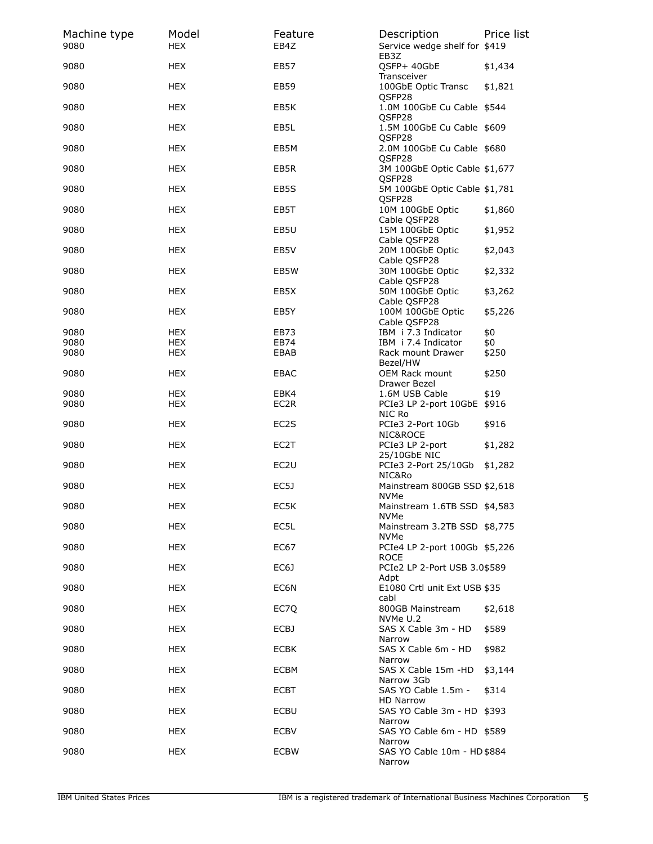| Machine type<br>9080 | Model<br><b>HEX</b>      | Feature<br>EB4Z  | Description<br>Service wedge shelf for \$419    | Price list   |
|----------------------|--------------------------|------------------|-------------------------------------------------|--------------|
| 9080                 | <b>HEX</b>               | <b>EB57</b>      | EB3Z<br>QSFP+ 40GbE<br>Transceiver              | \$1,434      |
| 9080                 | <b>HEX</b>               | <b>EB59</b>      | 100GbE Optic Transc<br>QSFP28                   | \$1,821      |
| 9080                 | <b>HEX</b>               | EB5K             | 1.0M 100GbE Cu Cable \$544<br>QSFP28            |              |
| 9080                 | <b>HEX</b>               | EB5L             | 1.5M 100GbE Cu Cable \$609<br>QSFP28            |              |
| 9080                 | <b>HEX</b>               | EB5M             | 2.0M 100GbE Cu Cable \$680<br>QSFP28            |              |
| 9080                 | <b>HEX</b>               | EB5R             | 3M 100GbE Optic Cable \$1,677<br>QSFP28         |              |
| 9080                 | <b>HEX</b>               | EB5S             | 5M 100GbE Optic Cable \$1,781<br>QSFP28         |              |
| 9080                 | <b>HEX</b>               | EB5T             | 10M 100GbE Optic<br>Cable QSFP28                | \$1,860      |
| 9080                 | <b>HEX</b>               | EB5U             | 15M 100GbE Optic<br>Cable QSFP28                | \$1,952      |
| 9080                 | <b>HEX</b>               | EB5V             | 20M 100GbE Optic<br>Cable QSFP28                | \$2,043      |
| 9080                 | <b>HEX</b>               | EB5W             | 30M 100GbE Optic<br>Cable OSFP28                | \$2,332      |
| 9080                 | <b>HEX</b>               | EB5X             | 50M 100GbE Optic<br>Cable QSFP28                | \$3,262      |
| 9080                 | <b>HEX</b>               | EB5Y             | 100M 100GbE Optic<br>Cable QSFP28               | \$5,226      |
| 9080                 | <b>HEX</b>               | EB73             | IBM i 7.3 Indicator                             | \$0          |
| 9080<br>9080         | <b>HEX</b><br><b>HEX</b> | EB74<br>EBAB     | IBM i 7.4 Indicator<br>Rack mount Drawer        | \$0<br>\$250 |
| 9080                 | <b>HEX</b>               | EBAC             | Bezel/HW<br>OEM Rack mount                      | \$250        |
| 9080                 | <b>HEX</b>               | EBK4             | Drawer Bezel<br>1.6M USB Cable                  | \$19         |
| 9080                 | <b>HEX</b>               | EC2R             | PCIe3 LP 2-port 10GbE \$916<br>NIC Ro           |              |
| 9080                 | <b>HEX</b>               | EC2S             | PCIe3 2-Port 10Gb<br>NIC&ROCE                   | \$916        |
| 9080                 | <b>HEX</b>               | EC2T             | PCIe3 LP 2-port<br>25/10GbE NIC                 | \$1,282      |
| 9080                 | <b>HEX</b>               | EC <sub>2U</sub> | PCIe3 2-Port 25/10Gb<br>NIC&Ro                  | \$1,282      |
| 9080                 | HEX                      | EC5J             | Mainstream 800GB SSD \$2,618<br><b>NVMe</b>     |              |
| 9080                 | HEX                      | EC5K             | Mainstream 1.6TB SSD \$4,583<br><b>NVMe</b>     |              |
| 9080                 | <b>HEX</b>               | EC5L             | Mainstream 3.2TB SSD \$8,775<br>NVMe            |              |
| 9080                 | <b>HEX</b>               | EC67             | PCIe4 LP 2-port 100Gb \$5,226<br><b>ROCE</b>    |              |
| 9080                 | <b>HEX</b>               | EC6J             | PCIe2 LP 2-Port USB 3.0\$589<br>Adpt            |              |
| 9080                 | <b>HEX</b>               | EC6N             | E1080 Crtl unit Ext USB \$35<br>cabl            |              |
| 9080                 | <b>HEX</b>               | EC70             | 800GB Mainstream<br>NVMe U.2                    | \$2,618      |
| 9080                 | <b>HEX</b>               | ECBJ             | SAS X Cable 3m - HD<br>Narrow                   | \$589        |
| 9080                 | <b>HEX</b>               | <b>ECBK</b>      | SAS X Cable 6m - HD<br>Narrow                   | \$982        |
| 9080                 | <b>HEX</b>               | ECBM             | SAS X Cable 15m -HD<br>Narrow 3Gb               | \$3,144      |
| 9080                 | <b>HEX</b>               | <b>ECBT</b>      | SAS YO Cable 1.5m -<br><b>HD Narrow</b>         | \$314        |
| 9080                 | <b>HEX</b>               | ECBU             | SAS YO Cable 3m - HD \$393<br>Narrow            |              |
| 9080                 | <b>HEX</b>               | <b>ECBV</b>      | SAS YO Cable 6m - HD \$589                      |              |
| 9080                 | <b>HEX</b>               | <b>ECBW</b>      | Narrow<br>SAS YO Cable 10m - HD \$884<br>Narrow |              |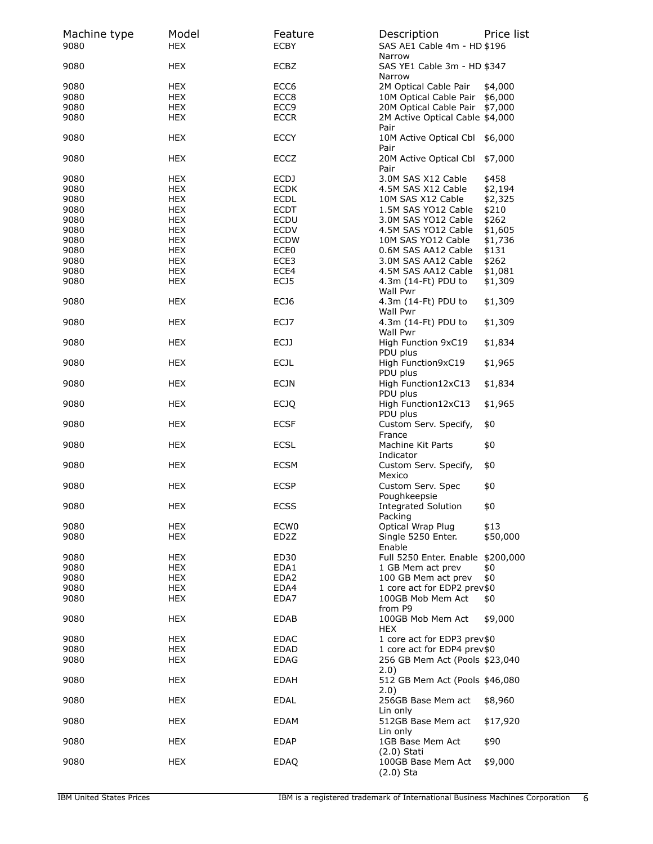| Machine type<br>9080 | Model<br><b>HEX</b> | Feature<br><b>ECBY</b> | Description<br>SAS AE1 Cable 4m - HD \$196      | Price list |
|----------------------|---------------------|------------------------|-------------------------------------------------|------------|
| 9080                 | <b>HEX</b>          | ECBZ                   | Narrow<br>SAS YE1 Cable 3m - HD \$347<br>Narrow |            |
| 9080                 | <b>HEX</b>          | ECC <sub>6</sub>       | 2M Optical Cable Pair                           | \$4,000    |
| 9080                 | <b>HEX</b>          | ECC8                   | 10M Optical Cable Pair \$6,000                  |            |
| 9080                 | <b>HEX</b>          | ECC <sub>9</sub>       | 20M Optical Cable Pair \$7,000                  |            |
|                      |                     |                        |                                                 |            |
| 9080                 | <b>HEX</b>          | <b>ECCR</b>            | 2M Active Optical Cable \$4,000<br>Pair         |            |
| 9080                 | <b>HEX</b>          | <b>ECCY</b>            | 10M Active Optical Cbl<br>Pair                  | \$6,000    |
| 9080                 | HEX                 | ECCZ                   | 20M Active Optical Cbl<br>Pair                  | \$7,000    |
| 9080                 | <b>HEX</b>          | ECDJ                   | 3.0M SAS X12 Cable                              | \$458      |
| 9080                 | <b>HEX</b>          | <b>ECDK</b>            | 4.5M SAS X12 Cable                              | \$2,194    |
| 9080                 | <b>HEX</b>          | <b>ECDL</b>            | 10M SAS X12 Cable                               | \$2,325    |
| 9080                 | <b>HEX</b>          | <b>ECDT</b>            | 1.5M SAS YO12 Cable                             | \$210      |
| 9080                 | <b>HEX</b>          | ECDU                   | 3.0M SAS YO12 Cable                             | \$262      |
| 9080                 | <b>HEX</b>          | <b>ECDV</b>            | 4.5M SAS YO12 Cable                             | \$1,605    |
| 9080                 | <b>HEX</b>          | <b>ECDW</b>            | 10M SAS YO12 Cable                              | \$1,736    |
| 9080                 | <b>HEX</b>          | ECE <sub>0</sub>       | 0.6M SAS AA12 Cable                             | \$131      |
| 9080                 | <b>HEX</b>          | ECE3                   | 3.0M SAS AA12 Cable                             | \$262      |
|                      |                     |                        |                                                 |            |
| 9080                 | <b>HEX</b>          | ECE4                   | 4.5M SAS AA12 Cable                             | \$1,081    |
| 9080                 | <b>HEX</b>          | ECJ5                   | 4.3m (14-Ft) PDU to<br>Wall Pwr                 | \$1,309    |
| 9080                 | HEX                 | ECJ6                   | 4.3m (14-Ft) PDU to<br>Wall Pwr                 | \$1,309    |
| 9080                 | <b>HEX</b>          | ECJ7                   | 4.3m (14-Ft) PDU to<br>Wall Pwr                 | \$1,309    |
| 9080                 | <b>HEX</b>          | ECJJ                   | High Function 9xC19<br>PDU plus                 | \$1,834    |
| 9080                 | HEX                 | <b>ECJL</b>            | High Function9xC19<br>PDU plus                  | \$1,965    |
| 9080                 | <b>HEX</b>          | <b>ECJN</b>            | High Function12xC13<br>PDU plus                 | \$1,834    |
| 9080                 | HEX                 | <b>ECJQ</b>            | High Function12xC13<br>PDU plus                 | \$1,965    |
| 9080                 | <b>HEX</b>          | <b>ECSF</b>            | Custom Serv. Specify,<br>France                 | \$0        |
| 9080                 | <b>HEX</b>          | <b>ECSL</b>            | Machine Kit Parts<br>Indicator                  | \$0        |
| 9080                 | HEX                 | ECSM                   | Custom Serv. Specify,<br>Mexico                 | \$0        |
| 9080                 | <b>HEX</b>          | <b>ECSP</b>            | Custom Serv. Spec<br>Poughkeepsie               | \$0        |
| 9080                 | HEX                 | ECSS                   | <b>Integrated Solution</b><br>Packing           | \$0        |
| 9080                 | <b>HEX</b>          | ECW <sub>0</sub>       | Optical Wrap Plug                               | \$13       |
| 9080                 | <b>HEX</b>          | ED <sub>2</sub> Z      | Single 5250 Enter.                              | \$50,000   |
|                      |                     |                        | Enable                                          |            |
| 9080                 | <b>HEX</b>          | ED30                   | Full 5250 Enter. Enable \$200,000               |            |
| 9080                 | <b>HEX</b>          | EDA1                   | 1 GB Mem act prev                               | \$0        |
| 9080                 | <b>HEX</b>          | EDA <sub>2</sub>       | 100 GB Mem act prev                             | \$0        |
| 9080                 | <b>HEX</b>          | EDA4                   | 1 core act for EDP2 prev\$0                     |            |
| 9080                 | <b>HEX</b>          | EDA7                   | 100GB Mob Mem Act                               | \$0        |
|                      |                     |                        | from P9                                         |            |
| 9080                 | <b>HEX</b>          | <b>EDAB</b>            | 100GB Mob Mem Act<br><b>HEX</b>                 | \$9,000    |
| 9080                 | <b>HEX</b>          | EDAC                   | 1 core act for EDP3 prev\$0                     |            |
| 9080                 | <b>HEX</b>          | EDAD                   | 1 core act for EDP4 prev\$0                     |            |
| 9080                 | <b>HEX</b>          | <b>EDAG</b>            | 256 GB Mem Act (Pools \$23,040<br>2.0)          |            |
| 9080                 | <b>HEX</b>          | <b>EDAH</b>            | 512 GB Mem Act (Pools \$46,080<br>2.0)          |            |
| 9080                 | HEX                 | <b>EDAL</b>            | 256GB Base Mem act<br>Lin only                  | \$8,960    |
| 9080                 | <b>HEX</b>          | <b>EDAM</b>            | 512GB Base Mem act<br>Lin only                  | \$17,920   |
| 9080                 | <b>HEX</b>          | <b>EDAP</b>            | 1GB Base Mem Act<br>$(2.0)$ Stati               | \$90       |
| 9080                 | <b>HEX</b>          | <b>EDAQ</b>            | 100GB Base Mem Act<br>$(2.0)$ Sta               | \$9,000    |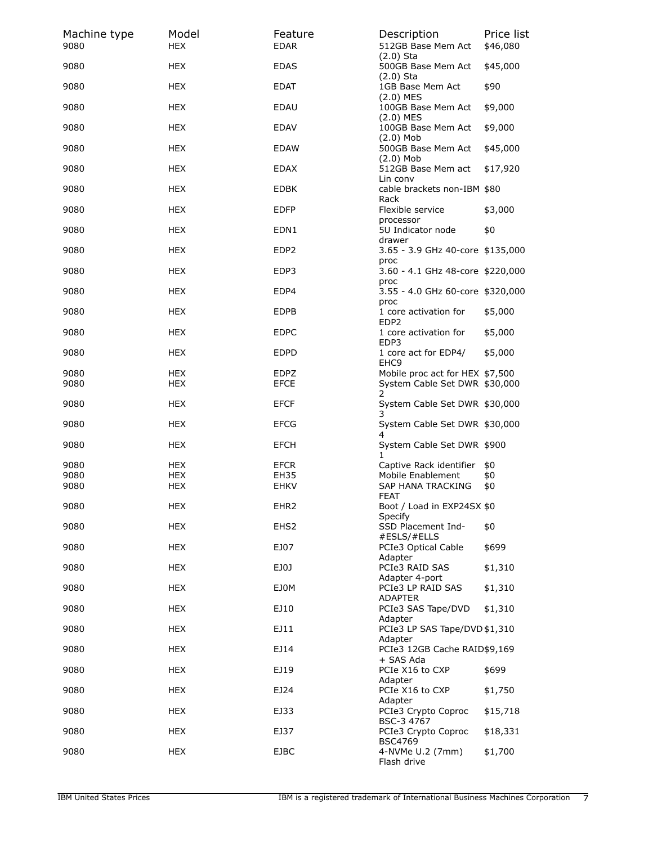| Machine type<br>9080 | Model<br><b>HEX</b>      | Feature<br><b>EDAR</b> | Description<br>512GB Base Mem Act                                     | Price list<br>\$46,080 |
|----------------------|--------------------------|------------------------|-----------------------------------------------------------------------|------------------------|
| 9080                 | HEX                      | <b>EDAS</b>            | $(2.0)$ Sta<br>500GB Base Mem Act                                     | \$45,000               |
| 9080                 | HEX                      | <b>EDAT</b>            | $(2.0)$ Sta<br>1GB Base Mem Act<br>$(2.0)$ MES                        | \$90                   |
| 9080                 | <b>HEX</b>               | EDAU                   | 100GB Base Mem Act<br>$(2.0)$ MES                                     | \$9,000                |
| 9080                 | <b>HEX</b>               | EDAV                   | 100GB Base Mem Act<br>$(2.0)$ Mob                                     | \$9,000                |
| 9080                 | HEX                      | <b>EDAW</b>            | 500GB Base Mem Act<br>$(2.0)$ Mob                                     | \$45,000               |
| 9080                 | HEX                      | EDAX                   | 512GB Base Mem act<br>Lin conv                                        | \$17,920               |
| 9080                 | HEX                      | <b>EDBK</b>            | cable brackets non-IBM \$80<br>Rack                                   |                        |
| 9080                 | <b>HEX</b>               | <b>EDFP</b>            | Flexible service<br>processor                                         | \$3,000                |
| 9080                 | <b>HEX</b>               | EDN1                   | 5U Indicator node<br>drawer                                           | \$0                    |
| 9080                 | HEX                      | EDP <sub>2</sub>       | 3.65 - 3.9 GHz 40-core \$135,000<br>proc                              |                        |
| 9080                 | HEX                      | EDP3                   | 3.60 - 4.1 GHz 48-core \$220,000<br>proc                              |                        |
| 9080                 | HEX                      | EDP4                   | 3.55 - 4.0 GHz 60-core \$320,000<br>proc                              |                        |
| 9080                 | <b>HEX</b>               | <b>EDPB</b>            | 1 core activation for<br>EDP2                                         | \$5,000                |
| 9080                 | <b>HEX</b>               | <b>EDPC</b>            | 1 core activation for<br>EDP3                                         | \$5,000                |
| 9080                 | HEX                      | <b>EDPD</b>            | 1 core act for EDP4/<br>EHC <sub>9</sub>                              | \$5,000                |
| 9080<br>9080         | <b>HEX</b><br><b>HEX</b> | EDPZ<br><b>EFCE</b>    | Mobile proc act for HEX \$7,500<br>System Cable Set DWR \$30,000<br>2 |                        |
| 9080                 | HEX                      | <b>EFCF</b>            | System Cable Set DWR \$30,000<br>3                                    |                        |
| 9080                 | HEX                      | <b>EFCG</b>            | System Cable Set DWR \$30,000<br>4                                    |                        |
| 9080                 | <b>HEX</b>               | <b>EFCH</b>            | System Cable Set DWR \$900<br>1.                                      |                        |
| 9080<br>9080         | <b>HEX</b><br><b>HEX</b> | <b>EFCR</b><br>EH35    | Captive Rack identifier<br>Mobile Enablement                          | \$0<br>\$0             |
| 9080                 | HEX                      | <b>EHKV</b>            | SAP HANA TRACKING<br>FEAT                                             | \$0                    |
| 9080                 | <b>HEX</b>               | EHR <sub>2</sub>       | Boot / Load in EXP24SX \$0<br>Specify                                 |                        |
| 9080                 | <b>HEX</b>               | EHS <sub>2</sub>       | SSD Placement Ind-<br>#ESLS/#ELLS                                     | \$0                    |
| 9080                 | <b>HEX</b>               | EJ07                   | PCIe3 Optical Cable<br>Adapter                                        | \$699                  |
| 9080                 | <b>HEX</b>               | EJ0J                   | PCIe3 RAID SAS<br>Adapter 4-port                                      | \$1,310                |
| 9080                 | <b>HEX</b>               | EJ0M                   | PCIe3 LP RAID SAS<br>ADAPTER                                          | \$1,310                |
| 9080                 | <b>HEX</b>               | EJ10                   | PCIe3 SAS Tape/DVD<br>Adapter                                         | \$1,310                |
| 9080                 | HEX                      | EJ11                   | PCIe3 LP SAS Tape/DVD \$1,310<br>Adapter                              |                        |
| 9080                 | <b>HEX</b>               | EJ14                   | PCIe3 12GB Cache RAID\$9,169<br>+ SAS Ada                             |                        |
| 9080                 | <b>HEX</b>               | EJ19                   | PCIe X16 to CXP<br>Adapter                                            | \$699                  |
| 9080                 | <b>HEX</b>               | EJ24                   | PCIe X16 to CXP<br>Adapter                                            | \$1,750                |
| 9080                 | <b>HEX</b>               | EJ33                   | PCIe3 Crypto Coproc<br>BSC-3 4767                                     | \$15,718               |
| 9080                 | <b>HEX</b>               | EJ37                   | PCIe3 Crypto Coproc<br><b>BSC4769</b>                                 | \$18,331               |
| 9080                 | <b>HEX</b>               | <b>EJBC</b>            | 4-NVMe U.2 (7mm)<br>Flash drive                                       | \$1,700                |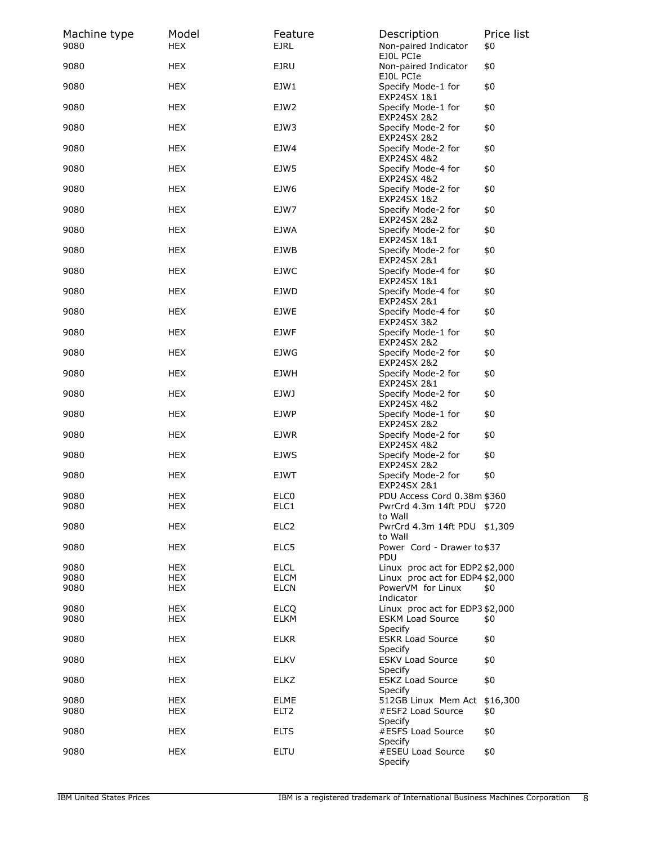| Machine type<br>9080 | Model<br><b>HEX</b>      | Feature<br><b>EJRL</b>          | Description<br>Non-paired Indicator                       | Price list<br>\$0 |
|----------------------|--------------------------|---------------------------------|-----------------------------------------------------------|-------------------|
| 9080                 | <b>HEX</b>               | <b>EJRU</b>                     | EJOL PCIe<br>Non-paired Indicator                         | \$0               |
| 9080                 | <b>HEX</b>               | EJW1                            | EJOL PCIe<br>Specify Mode-1 for<br>EXP24SX 1&1            | \$0               |
| 9080                 | <b>HEX</b>               | EJW2                            | Specify Mode-1 for<br>EXP24SX 2&2                         | \$0               |
| 9080                 | <b>HEX</b>               | EJW3                            | Specify Mode-2 for<br>EXP24SX 2&2                         | \$0               |
| 9080                 | HEX                      | EJW4                            | Specify Mode-2 for<br>EXP24SX 4&2                         | \$0               |
| 9080                 | <b>HEX</b>               | EJW5                            | Specify Mode-4 for<br>EXP24SX 4&2                         | \$0               |
| 9080                 | <b>HEX</b>               | EJW6                            | Specify Mode-2 for<br>EXP24SX 1&2                         | \$0               |
| 9080                 | <b>HEX</b>               | EJW7                            | Specify Mode-2 for<br>EXP24SX 2&2                         | \$0               |
| 9080                 | <b>HEX</b>               | <b>EJWA</b>                     | Specify Mode-2 for<br>EXP24SX 1&1                         | \$0               |
| 9080                 | HEX                      | EJWB                            | Specify Mode-2 for<br>EXP24SX 2&1                         | \$0               |
| 9080                 | <b>HEX</b>               | <b>EJWC</b>                     | Specify Mode-4 for<br>EXP24SX 1&1                         | \$0               |
| 9080                 | <b>HEX</b>               | EJWD                            | Specify Mode-4 for<br>EXP24SX 2&1                         | \$0               |
| 9080                 | <b>HEX</b>               | <b>EJWE</b>                     | Specify Mode-4 for<br><b>EXP24SX 3&amp;2</b>              | \$0               |
| 9080                 | <b>HEX</b>               | <b>EJWF</b>                     | Specify Mode-1 for<br>EXP24SX 2&2                         | \$0               |
| 9080                 | HEX                      | EJWG                            | Specify Mode-2 for<br>EXP24SX 2&2                         | \$0               |
| 9080                 | <b>HEX</b>               | <b>EJWH</b>                     | Specify Mode-2 for<br>EXP24SX 2&1                         | \$0               |
| 9080                 | <b>HEX</b>               | EJWJ                            | Specify Mode-2 for<br>EXP24SX 4&2                         | \$0               |
| 9080                 | <b>HEX</b>               | <b>EJWP</b>                     | Specify Mode-1 for<br>EXP24SX 2&2                         | \$0               |
| 9080                 | <b>HEX</b>               | <b>EJWR</b>                     | Specify Mode-2 for<br>EXP24SX 4&2                         | \$0               |
| 9080                 | HEX                      | <b>EJWS</b>                     | Specify Mode-2 for<br><b>EXP24SX 2&amp;2</b>              | \$0               |
| 9080                 | HEX                      | EJWT                            | Specify Mode-2 for<br>EXP24SX 2&1                         | \$0               |
| 9080<br>9080         | <b>HEX</b><br><b>HEX</b> | ELC <sub>0</sub><br>ELC1        | PDU Access Cord 0.38m \$360<br>PwrCrd 4.3m 14ft PDU \$720 |                   |
| 9080                 | HEX                      | ELC <sub>2</sub>                | to Wall<br>PwrCrd 4.3m 14ft PDU \$1,309                   |                   |
| 9080                 | <b>HEX</b>               | ELC5                            | to Wall<br>Power Cord - Drawer to \$37                    |                   |
|                      |                          |                                 | <b>PDU</b>                                                |                   |
| 9080                 | HEX<br><b>HEX</b>        | <b>ELCL</b><br><b>ELCM</b>      | Linux proc act for EDP2 \$2,000                           |                   |
| 9080<br>9080         | <b>HEX</b>               | <b>ELCN</b>                     | Linux proc act for EDP4 \$2,000<br>PowerVM for Linux      | \$0               |
| 9080                 | HEX                      | <b>ELCO</b>                     | Indicator<br>Linux proc act for EDP3 \$2,000              |                   |
| 9080                 | <b>HEX</b>               | ELKM                            | <b>ESKM Load Source</b><br>Specify                        | \$0               |
| 9080                 | HEX                      | <b>ELKR</b>                     | <b>ESKR Load Source</b><br>Specify                        | \$0               |
| 9080                 | <b>HEX</b>               | <b>ELKV</b>                     | <b>ESKV Load Source</b><br>Specify                        | \$0               |
| 9080                 | HEX                      | ELKZ                            | <b>ESKZ Load Source</b><br>Specify                        | \$0               |
| 9080<br>9080         | <b>HEX</b><br>HEX        | <b>ELME</b><br>ELT <sub>2</sub> | 512GB Linux Mem Act<br>#ESF2 Load Source                  | \$16,300<br>\$0   |
| 9080                 | HEX                      | <b>ELTS</b>                     | Specify<br>#ESFS Load Source                              | \$0               |
|                      |                          |                                 | Specify                                                   |                   |
| 9080                 | HEX                      | ELTU                            | #ESEU Load Source<br>Specify                              | \$0               |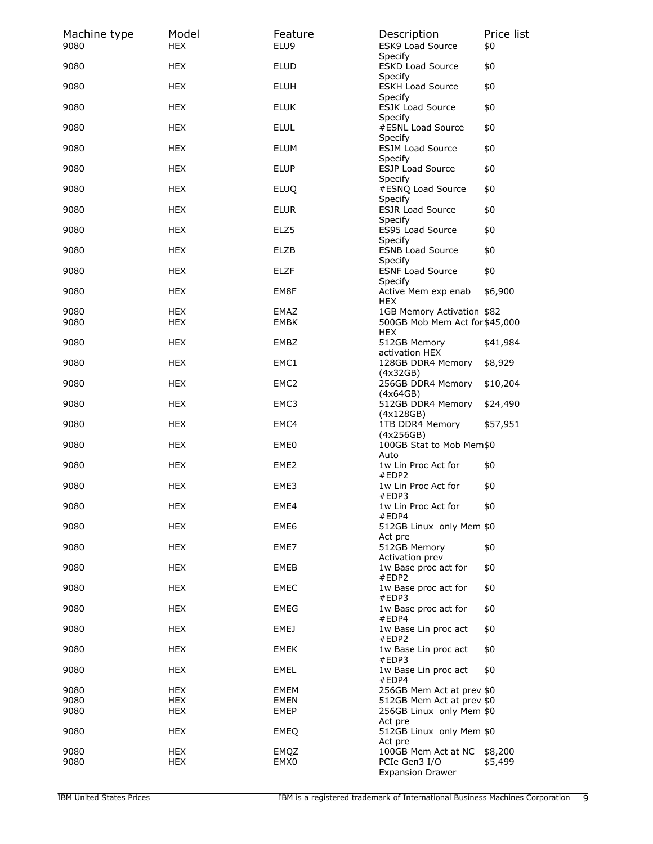| Machine type<br>9080 | Model<br><b>HEX</b> | Feature<br>ELU9     | Description<br><b>ESK9 Load Source</b>                | Price list<br>\$0 |
|----------------------|---------------------|---------------------|-------------------------------------------------------|-------------------|
| 9080                 | <b>HEX</b>          | <b>ELUD</b>         | Specify<br><b>ESKD Load Source</b>                    | \$0               |
| 9080                 | <b>HEX</b>          | <b>ELUH</b>         | Specify<br><b>ESKH Load Source</b>                    | \$0               |
| 9080                 | <b>HEX</b>          | <b>ELUK</b>         | Specify<br><b>ESJK Load Source</b><br>Specify         | \$0               |
| 9080                 | <b>HEX</b>          | <b>ELUL</b>         | #ESNL Load Source                                     | \$0               |
| 9080                 | <b>HEX</b>          | <b>ELUM</b>         | Specify<br><b>ESJM Load Source</b>                    | \$0               |
| 9080                 | <b>HEX</b>          | <b>ELUP</b>         | Specify<br><b>ESJP Load Source</b><br>Specify         | \$0               |
| 9080                 | <b>HEX</b>          | <b>ELUQ</b>         | #ESNQ Load Source                                     | \$0               |
| 9080                 | <b>HEX</b>          | <b>ELUR</b>         | Specify<br><b>ESJR Load Source</b><br>Specify         | \$0               |
| 9080                 | <b>HEX</b>          | ELZ5                | ES95 Load Source<br>Specify                           | \$0               |
| 9080                 | <b>HEX</b>          | <b>ELZB</b>         | <b>ESNB Load Source</b><br>Specify                    | \$0               |
| 9080                 | <b>HEX</b>          | <b>ELZF</b>         | <b>ESNF Load Source</b>                               | \$0               |
| 9080                 | <b>HEX</b>          | EM8F                | Specify<br>Active Mem exp enab<br><b>HEX</b>          | \$6,900           |
| 9080                 | <b>HEX</b>          | EMAZ                | 1GB Memory Activation \$82                            |                   |
| 9080                 | HEX                 | EMBK                | 500GB Mob Mem Act for \$45,000<br><b>HEX</b>          |                   |
| 9080                 | <b>HEX</b>          | EMBZ                | 512GB Memory<br>activation HEX                        | \$41,984          |
| 9080                 | <b>HEX</b>          | EMC1                | 128GB DDR4 Memory<br>(4x32GB)                         | \$8,929           |
| 9080                 | <b>HEX</b>          | EMC <sub>2</sub>    | 256GB DDR4 Memory<br>(4x64GB)                         | \$10,204          |
| 9080                 | HEX                 | EMC3                | 512GB DDR4 Memory<br>(4x128GB)                        | \$24,490          |
| 9080                 | <b>HEX</b>          | EMC4                | 1TB DDR4 Memory                                       | \$57,951          |
| 9080                 | <b>HEX</b>          | EME <sub>0</sub>    | (4x256GB)<br>100GB Stat to Mob Mem\$0                 |                   |
| 9080                 | <b>HEX</b>          | EME <sub>2</sub>    | Auto<br>1w Lin Proc Act for<br>#EDP2                  | \$0               |
| 9080                 | <b>HEX</b>          | EME3                | 1w Lin Proc Act for<br>#EDP3                          | \$0               |
| 9080                 | HEX                 | EME4                | 1w Lin Proc Act for<br>#EDP4                          | \$0               |
| 9080                 | <b>HEX</b>          | EME6                | 512GB Linux only Mem \$0<br>Act pre                   |                   |
| 9080                 | <b>HEX</b>          | EME7                | 512GB Memory<br>Activation prev                       | \$0               |
| 9080                 | <b>HEX</b>          | <b>EMEB</b>         | 1w Base proc act for<br>#EDP2                         | \$0               |
| 9080                 | <b>HEX</b>          | <b>EMEC</b>         | 1w Base proc act for<br>#EDP3                         | \$0               |
| 9080                 | HEX                 | EMEG                | 1w Base proc act for<br>#EDP4                         | \$0               |
| 9080                 | HEX                 | EMEJ                | 1w Base Lin proc act<br>#EDP2                         | \$0               |
| 9080                 | <b>HEX</b>          | EMEK                | 1w Base Lin proc act<br>#EDP3                         | \$0               |
| 9080                 | <b>HEX</b>          | EMEL                | 1w Base Lin proc act<br>#EDP4                         | \$0               |
| 9080                 | <b>HEX</b>          | EMEM<br><b>EMEN</b> | 256GB Mem Act at prev \$0                             |                   |
| 9080<br>9080         | HEX<br><b>HEX</b>   | EMEP                | 512GB Mem Act at prev \$0<br>256GB Linux only Mem \$0 |                   |
| 9080                 | HEX                 | <b>EMEQ</b>         | Act pre<br>512GB Linux only Mem \$0                   |                   |
| 9080                 | <b>HEX</b>          | EMQZ                | Act pre<br>100GB Mem Act at NC                        | \$8,200           |
| 9080                 | <b>HEX</b>          | EMX0                | PCIe Gen3 I/O<br><b>Expansion Drawer</b>              | \$5,499           |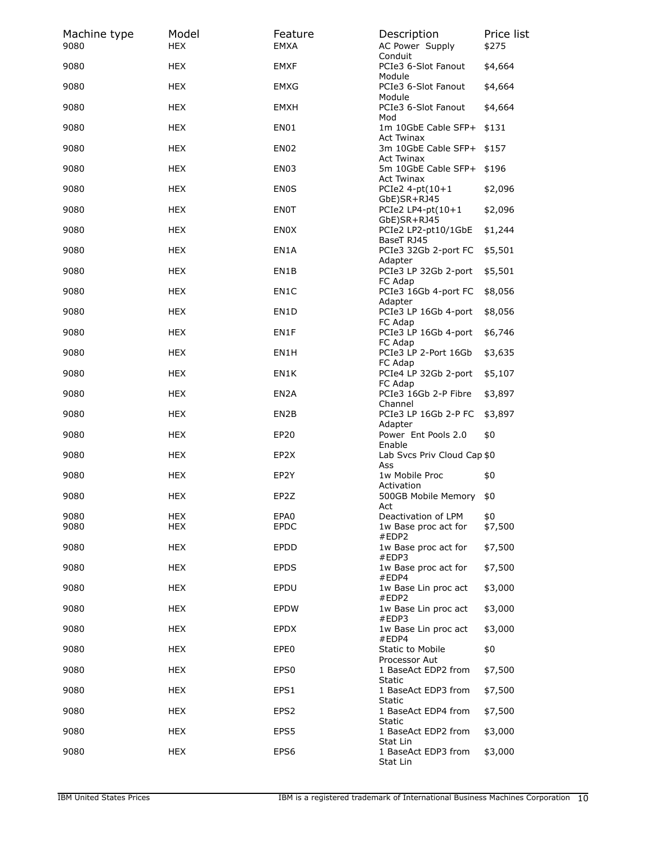| Machine type<br>9080 | Model<br><b>HEX</b> | Feature<br>EMXA   | Description<br>AC Power Supply                   | Price list<br>\$275 |
|----------------------|---------------------|-------------------|--------------------------------------------------|---------------------|
| 9080                 | <b>HEX</b>          | <b>EMXF</b>       | Conduit<br>PCIe3 6-Slot Fanout                   | \$4,664             |
| 9080                 | <b>HEX</b>          | <b>EMXG</b>       | Module<br>PCIe3 6-Slot Fanout<br>Module          | \$4,664             |
| 9080                 | HEX                 | EMXH              | PCIe3 6-Slot Fanout<br>Mod                       | \$4,664             |
| 9080                 | <b>HEX</b>          | EN01              | 1m 10GbE Cable SFP+<br>Act Twinax                | \$131               |
| 9080                 | HEX                 | <b>EN02</b>       | 3m 10GbE Cable SFP+<br><b>Act Twinax</b>         | \$157               |
| 9080                 | <b>HEX</b>          | EN03              | 5m 10GbE Cable SFP+<br>Act Twinax                | \$196               |
| 9080                 | <b>HEX</b>          | <b>EN0S</b>       | PCIe2 $4$ -pt $(10+1)$                           | \$2,096             |
| 9080                 | HEX                 | ENOT              | GbE)SR+RJ45<br>PCIe2 LP4-pt $(10+1)$             | \$2,096             |
| 9080                 | <b>HEX</b>          | ENOX              | GbE)SR+RJ45<br>PCIe2 LP2-pt10/1GbE<br>BaseT RJ45 | \$1,244             |
| 9080                 | HEX                 | EN1A              | PCIe3 32Gb 2-port FC<br>Adapter                  | \$5,501             |
| 9080                 | <b>HEX</b>          | EN1B              | PCIe3 LP 32Gb 2-port                             | \$5,501             |
| 9080                 | <b>HEX</b>          | EN1C              | FC Adap<br>PCIe3 16Gb 4-port FC                  | \$8,056             |
| 9080                 | HEX                 | EN <sub>1</sub> D | Adapter<br>PCIe3 LP 16Gb 4-port                  | \$8,056             |
| 9080                 | <b>HEX</b>          | EN1F              | FC Adap<br>PCIe3 LP 16Gb 4-port                  | \$6,746             |
| 9080                 | HEX                 | EN1H              | FC Adap<br>PCIe3 LP 2-Port 16Gb                  | \$3,635             |
| 9080                 | <b>HEX</b>          | EN1K              | FC Adap<br>PCIe4 LP 32Gb 2-port                  | \$5,107             |
| 9080                 | <b>HEX</b>          | EN <sub>2</sub> A | FC Adap<br>PCIe3 16Gb 2-P Fibre                  | \$3,897             |
| 9080                 | HEX                 | EN <sub>2</sub> B | Channel<br>PCIe3 LP 16Gb 2-P FC                  | \$3,897             |
| 9080                 | <b>HEX</b>          | EP20              | Adapter<br>Power Ent Pools 2.0<br>Enable         | \$0                 |
| 9080                 | <b>HEX</b>          | EP <sub>2</sub> X | Lab Svcs Priv Cloud Cap \$0<br>Ass               |                     |
| 9080                 | HEX                 | EP2Y              | 1w Mobile Proc                                   | \$0                 |
| 9080                 | <b>HEX</b>          | EP2Z              | Activation<br>500GB Mobile Memory                | \$0                 |
| 9080                 | <b>HEX</b>          | EPA0              | Act<br>Deactivation of LPM                       | \$0                 |
| 9080                 | <b>HEX</b>          | <b>EPDC</b>       | 1w Base proc act for<br>#EDP2                    | \$7,500             |
| 9080                 | <b>HEX</b>          | <b>EPDD</b>       | 1w Base proc act for<br>#EDP3                    | \$7,500             |
| 9080                 | <b>HEX</b>          | <b>EPDS</b>       | 1w Base proc act for<br>#EDP4                    | \$7,500             |
| 9080                 | <b>HEX</b>          | EPDU              | 1w Base Lin proc act<br>#EDP2                    | \$3,000             |
| 9080                 | HEX                 | <b>EPDW</b>       | 1w Base Lin proc act<br>#EDP3                    | \$3,000             |
| 9080                 | <b>HEX</b>          | <b>EPDX</b>       | 1w Base Lin proc act<br>#EDP4                    | \$3,000             |
| 9080                 | <b>HEX</b>          | EPE0              | Static to Mobile<br>Processor Aut                | \$0                 |
| 9080                 | <b>HEX</b>          | EPS <sub>0</sub>  | 1 BaseAct EDP2 from<br>Static                    | \$7,500             |
| 9080                 | <b>HEX</b>          | EPS1              | 1 BaseAct EDP3 from<br>Static                    | \$7,500             |
| 9080                 | <b>HEX</b>          | EPS <sub>2</sub>  | 1 BaseAct EDP4 from<br>Static                    | \$7,500             |
| 9080                 | <b>HEX</b>          | EPS5              | 1 BaseAct EDP2 from<br>Stat Lin                  | \$3,000             |
| 9080                 | <b>HEX</b>          | EPS6              | 1 BaseAct EDP3 from<br>Stat Lin                  | \$3,000             |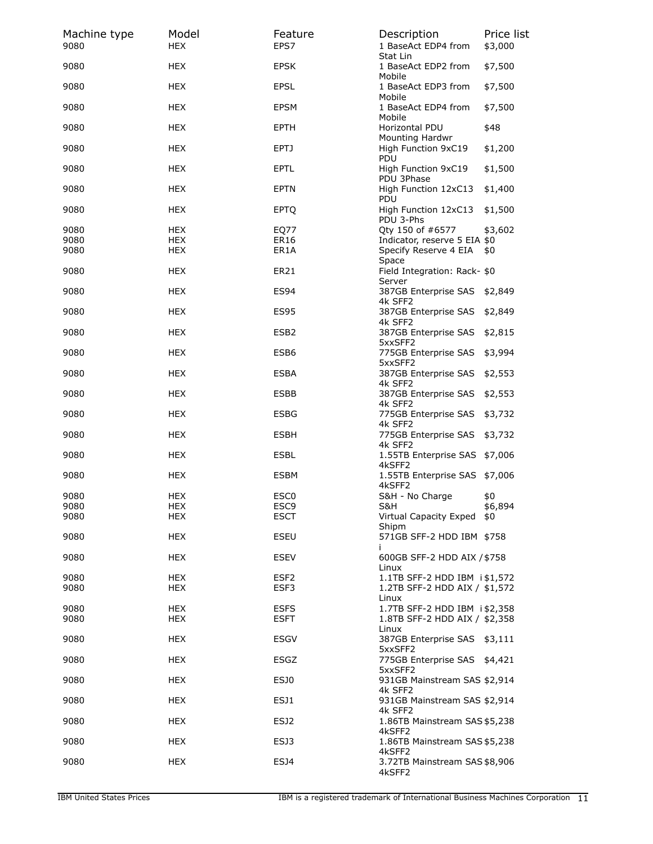| Machine type<br>9080 | Model<br><b>HEX</b> | Feature<br>EPS7  | Description<br>1 BaseAct EDP4 from      | Price list<br>\$3,000 |
|----------------------|---------------------|------------------|-----------------------------------------|-----------------------|
| 9080                 | HEX                 | <b>EPSK</b>      | Stat Lin<br>1 BaseAct EDP2 from         | \$7,500               |
| 9080                 | <b>HEX</b>          | <b>EPSL</b>      | Mobile<br>1 BaseAct EDP3 from<br>Mobile | \$7,500               |
| 9080                 | <b>HEX</b>          | <b>EPSM</b>      | 1 BaseAct EDP4 from<br>Mobile           | \$7,500               |
| 9080                 | <b>HEX</b>          | <b>EPTH</b>      | Horizontal PDU<br>Mounting Hardwr       | \$48                  |
| 9080                 | HEX                 | EPTJ             | High Function 9xC19<br>PDU              | \$1,200               |
| 9080                 | <b>HEX</b>          | <b>EPTL</b>      | High Function 9xC19<br>PDU 3Phase       | \$1,500               |
| 9080                 | <b>HEX</b>          | <b>EPTN</b>      | High Function 12xC13<br>PDU             | \$1,400               |
| 9080                 | <b>HEX</b>          | <b>EPTQ</b>      | High Function 12xC13<br>PDU 3-Phs       | \$1,500               |
| 9080                 | <b>HEX</b>          | EQ77             | Qty 150 of #6577                        | \$3,602               |
| 9080                 | <b>HEX</b>          | <b>ER16</b>      | Indicator, reserve 5 EIA \$0            |                       |
| 9080                 | <b>HEX</b>          | ER1A             | Specify Reserve 4 EIA<br>Space          | \$0                   |
| 9080                 | HEX                 | <b>ER21</b>      | Field Integration: Rack- \$0<br>Server  |                       |
| 9080                 | <b>HEX</b>          | <b>ES94</b>      | 387GB Enterprise SAS<br>4k SFF2         | \$2,849               |
| 9080                 | <b>HEX</b>          | <b>ES95</b>      | 387GB Enterprise SAS<br>4k SFF2         | \$2,849               |
| 9080                 | <b>HEX</b>          | ESB <sub>2</sub> | 387GB Enterprise SAS<br>5xxSFF2         | \$2,815               |
| 9080                 | HEX                 | ESB <sub>6</sub> | 775GB Enterprise SAS<br>5xxSFF2         | \$3,994               |
| 9080                 | <b>HEX</b>          | ESBA             | 387GB Enterprise SAS<br>4k SFF2         | \$2,553               |
| 9080                 | <b>HEX</b>          | ESBB             | 387GB Enterprise SAS<br>4k SFF2         | \$2,553               |
| 9080                 | <b>HEX</b>          | <b>ESBG</b>      | 775GB Enterprise SAS<br>4k SFF2         | \$3,732               |
| 9080                 | <b>HEX</b>          | <b>ESBH</b>      | 775GB Enterprise SAS<br>4k SFF2         | \$3,732               |
| 9080                 | HEX                 | ESBL             | 1.55TB Enterprise SAS \$7,006<br>4kSFF2 |                       |
| 9080                 | HEX                 | ESBM             | 1.55TB Enterprise SAS \$7,006<br>4kSFF2 |                       |
| 9080                 | <b>HEX</b>          | ESC <sub>0</sub> | S&H - No Charge                         | \$0                   |
| 9080                 | HEX                 | ESC9             | S&H                                     | \$6,894               |
| 9080                 | <b>HEX</b>          | <b>ESCT</b>      | Virtual Capacity Exped<br>Shipm         | \$0                   |
| 9080                 | <b>HEX</b>          | <b>ESEU</b>      | 571GB SFF-2 HDD IBM \$758<br>Î.         |                       |
| 9080                 | <b>HEX</b>          | ESEV             | 600GB SFF-2 HDD AIX / \$758<br>Linux    |                       |
| 9080                 | <b>HEX</b>          | ESF <sub>2</sub> | 1.1TB SFF-2 HDD IBM i\$1,572            |                       |
| 9080                 | <b>HEX</b>          | ESF3             | 1.2TB SFF-2 HDD AIX / \$1,572<br>Linux  |                       |
| 9080                 | <b>HEX</b>          | <b>ESFS</b>      | 1.7TB SFF-2 HDD IBM i \$2,358           |                       |
| 9080                 | <b>HEX</b>          | <b>ESFT</b>      | 1.8TB SFF-2 HDD AIX / \$2,358<br>Linux  |                       |
| 9080                 | <b>HEX</b>          | ESGV             | 387GB Enterprise SAS \$3,111<br>5xxSFF2 |                       |
| 9080                 | <b>HEX</b>          | ESGZ             | 775GB Enterprise SAS \$4,421<br>5xxSFF2 |                       |
| 9080                 | <b>HEX</b>          | ESJ0             | 931GB Mainstream SAS \$2,914<br>4k SFF2 |                       |
| 9080                 | <b>HEX</b>          | ESJ1             | 931GB Mainstream SAS \$2,914<br>4k SFF2 |                       |
| 9080                 | <b>HEX</b>          | ESJ <sub>2</sub> | 1.86TB Mainstream SAS \$5,238<br>4kSFF2 |                       |
| 9080                 | <b>HEX</b>          | ESJ3             | 1.86TB Mainstream SAS \$5,238<br>4kSFF2 |                       |
| 9080                 | <b>HEX</b>          | ESJ4             | 3.72TB Mainstream SAS \$8,906<br>4kSFF2 |                       |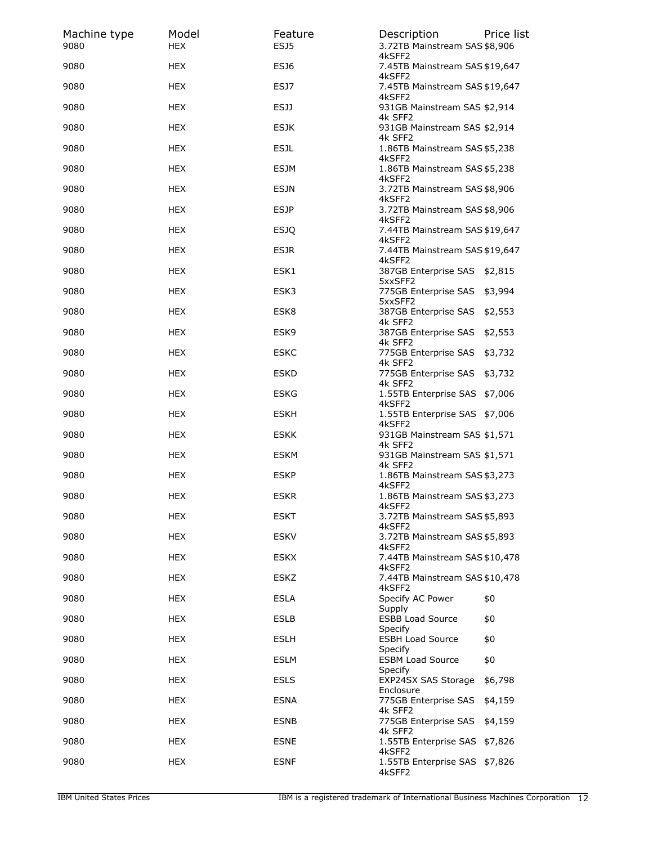| Machine type<br>9080 | Model<br><b>HEX</b> | Feature<br>ESJ5 | Description<br>3.72TB Mainstream SAS \$8,906       | Price list |
|----------------------|---------------------|-----------------|----------------------------------------------------|------------|
| 9080                 | <b>HEX</b>          | ESJ6            | 4kSFF2<br>7.45TB Mainstream SAS \$19,647           |            |
| 9080                 | <b>HEX</b>          | ESJ7            | 4kSFF2<br>7.45TB Mainstream SAS \$19,647<br>4kSFF2 |            |
| 9080                 | <b>HEX</b>          | <b>ESJJ</b>     | 931GB Mainstream SAS \$2,914<br>4k SFF2            |            |
| 9080                 | <b>HEX</b>          | <b>ESJK</b>     | 931GB Mainstream SAS \$2,914<br>4k SFF2            |            |
| 9080                 | <b>HEX</b>          | <b>ESJL</b>     | 1.86TB Mainstream SAS \$5,238<br>4kSFF2            |            |
| 9080                 | <b>HEX</b>          | <b>ESJM</b>     | 1.86TB Mainstream SAS \$5,238                      |            |
| 9080                 | <b>HEX</b>          | <b>ESJN</b>     | 4kSFF2<br>3.72TB Mainstream SAS \$8,906            |            |
| 9080                 | <b>HEX</b>          | <b>ESJP</b>     | 4kSFF2<br>3.72TB Mainstream SAS \$8,906            |            |
| 9080                 | <b>HEX</b>          | <b>ESJQ</b>     | 4kSFF2<br>7.44TB Mainstream SAS \$19,647           |            |
| 9080                 | HEX                 | <b>ESJR</b>     | 4kSFF2<br>7.44TB Mainstream SAS \$19,647           |            |
| 9080                 | <b>HEX</b>          | ESK1            | 4kSFF2<br>387GB Enterprise SAS \$2,815             |            |
| 9080                 | <b>HEX</b>          | ESK3            | 5xxSFF2<br>775GB Enterprise SAS                    | \$3,994    |
| 9080                 | <b>HEX</b>          | ESK8            | 5xxSFF2<br>387GB Enterprise SAS                    | \$2,553    |
| 9080                 | <b>HEX</b>          | ESK9            | 4k SFF2<br>387GB Enterprise SAS                    | \$2,553    |
| 9080                 | HEX                 | <b>ESKC</b>     | 4k SFF2<br>775GB Enterprise SAS                    | \$3,732    |
| 9080                 | <b>HEX</b>          | <b>ESKD</b>     | 4k SFF2<br>775GB Enterprise SAS                    | \$3,732    |
| 9080                 | <b>HEX</b>          | <b>ESKG</b>     | 4k SFF2<br>1.55TB Enterprise SAS \$7,006           |            |
| 9080                 | <b>HEX</b>          | <b>ESKH</b>     | 4kSFF2<br>1.55TB Enterprise SAS \$7,006            |            |
| 9080                 | <b>HEX</b>          | <b>ESKK</b>     | 4kSFF2<br>931GB Mainstream SAS \$1,571             |            |
| 9080                 | HEX                 | <b>ESKM</b>     | 4k SFF2<br>931GB Mainstream SAS \$1,571            |            |
| 9080                 | HEX                 | <b>ESKP</b>     | 4k SFF2<br>1.86TB Mainstream SAS \$3,273           |            |
| 9080                 | <b>HEX</b>          | <b>ESKR</b>     | 4kSFF2<br>1.86TB Mainstream SAS \$3,273            |            |
| 9080                 | <b>HEX</b>          | <b>ESKT</b>     | 4kSFF2<br>3.72TB Mainstream SAS \$5,893            |            |
| 9080                 | <b>HEX</b>          | <b>ESKV</b>     | 4kSFF2<br>3.72TB Mainstream SAS \$5,893            |            |
| 9080                 | <b>HEX</b>          | ESKX            | 4kSFF2<br>7.44TB Mainstream SAS \$10,478           |            |
| 9080                 | <b>HEX</b>          | ESKZ            | 4kSFF2<br>7.44TB Mainstream SAS \$10,478           |            |
| 9080                 | <b>HEX</b>          | <b>ESLA</b>     | 4kSFF2<br>Specify AC Power                         | \$0        |
| 9080                 | <b>HEX</b>          | <b>ESLB</b>     | Supply<br><b>ESBB Load Source</b>                  | \$0        |
| 9080                 | <b>HEX</b>          | <b>ESLH</b>     | Specify<br><b>ESBH Load Source</b>                 | \$0        |
| 9080                 | <b>HEX</b>          | ESLM            | Specify<br><b>ESBM Load Source</b>                 | \$0        |
| 9080                 | <b>HEX</b>          | <b>ESLS</b>     | <b>Specify</b><br>EXP24SX SAS Storage              | \$6,798    |
| 9080                 | <b>HEX</b>          | <b>ESNA</b>     | Enclosure<br>775GB Enterprise SAS                  | \$4,159    |
| 9080                 | <b>HEX</b>          | <b>ESNB</b>     | 4k SFF2<br>775GB Enterprise SAS                    | \$4,159    |
| 9080                 | <b>HEX</b>          | <b>ESNE</b>     | 4k SFF2<br>1.55TB Enterprise SAS \$7,826           |            |
| 9080                 | <b>HEX</b>          | ESNF            | 4kSFF2<br>1.55TB Enterprise SAS \$7,826            |            |
|                      |                     |                 | 4kSFF2                                             |            |